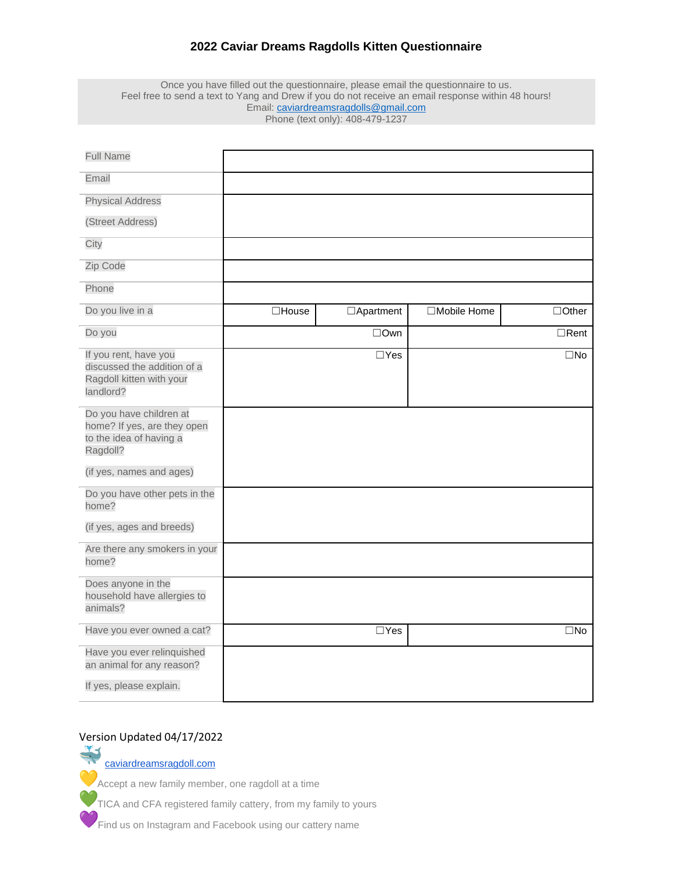## **2022 Caviar Dreams Ragdolls Kitten Questionnaire**

Once you have filled out the questionnaire, please email the questionnaire to us. Feel free to send a text to Yang and Drew if you do not receive an email response within 48 hours! Email: [caviardreamsragdolls@gmail.com](mailto:caviardreamsragdolls@gmail.com) Phone (text only): 408-479-1237

| <b>Full Name</b>                                                                              |              |                  |              |              |
|-----------------------------------------------------------------------------------------------|--------------|------------------|--------------|--------------|
| Email                                                                                         |              |                  |              |              |
| <b>Physical Address</b>                                                                       |              |                  |              |              |
| (Street Address)                                                                              |              |                  |              |              |
| City                                                                                          |              |                  |              |              |
| Zip Code                                                                                      |              |                  |              |              |
| Phone                                                                                         |              |                  |              |              |
| Do you live in a                                                                              | $\Box$ House | $\Box$ Apartment | □Mobile Home | $\Box$ Other |
| Do you                                                                                        |              | $\Box$ Own       |              | $\Box$ Rent  |
| If you rent, have you<br>discussed the addition of a<br>Ragdoll kitten with your<br>landlord? |              | $\Box$ Yes       |              | $\square$ No |
| Do you have children at<br>home? If yes, are they open<br>to the idea of having a<br>Ragdoll? |              |                  |              |              |
| (if yes, names and ages)                                                                      |              |                  |              |              |
| Do you have other pets in the<br>home?                                                        |              |                  |              |              |
| (if yes, ages and breeds)                                                                     |              |                  |              |              |
| Are there any smokers in your<br>home?                                                        |              |                  |              |              |
| Does anyone in the<br>household have allergies to<br>animals?                                 |              |                  |              |              |
| Have you ever owned a cat?                                                                    |              | $\Box$ Yes       |              | $\square$ No |
| Have you ever relinquished<br>an animal for any reason?<br>If yes, please explain.            |              |                  |              |              |

Version Updated 04/17/2022 [caviardreamsragdoll.com](http://caviardreamsragdoll.com/) **C**<br>Accept a new family member, one ragdoll at a time

TICA and CFA registered family cattery, from my family to yours

Find us on Instagram and Facebook using our cattery name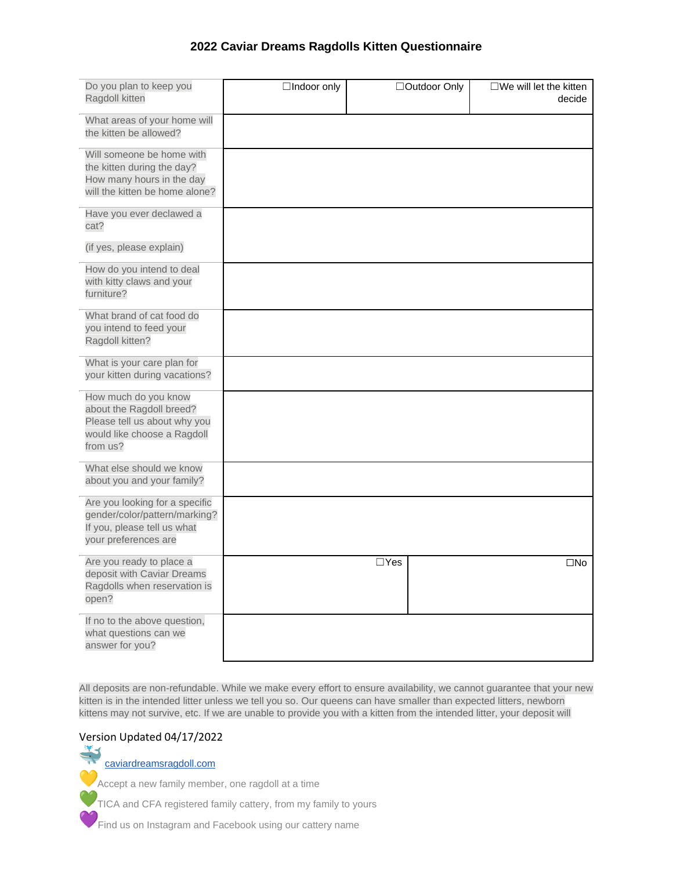## **2022 Caviar Dreams Ragdolls Kitten Questionnaire**

| Do you plan to keep you<br>Ragdoll kitten                                                                                   | □Indoor only |            | □Outdoor Only | $\square$ We will let the kitten<br>decide |
|-----------------------------------------------------------------------------------------------------------------------------|--------------|------------|---------------|--------------------------------------------|
| What areas of your home will<br>the kitten be allowed?                                                                      |              |            |               |                                            |
| Will someone be home with<br>the kitten during the day?<br>How many hours in the day<br>will the kitten be home alone?      |              |            |               |                                            |
| Have you ever declawed a<br>cat?                                                                                            |              |            |               |                                            |
| (if yes, please explain)                                                                                                    |              |            |               |                                            |
| How do you intend to deal<br>with kitty claws and your<br>furniture?                                                        |              |            |               |                                            |
| What brand of cat food do<br>you intend to feed your<br>Ragdoll kitten?                                                     |              |            |               |                                            |
| What is your care plan for<br>your kitten during vacations?                                                                 |              |            |               |                                            |
| How much do you know<br>about the Ragdoll breed?<br>Please tell us about why you<br>would like choose a Ragdoll<br>from us? |              |            |               |                                            |
| What else should we know<br>about you and your family?                                                                      |              |            |               |                                            |
| Are you looking for a specific<br>gender/color/pattern/marking?<br>If you, please tell us what<br>your preferences are      |              |            |               |                                            |
| Are you ready to place a<br>deposit with Caviar Dreams<br>Ragdolls when reservation is<br>open?                             |              | $\Box$ Yes |               | $\square$ No                               |
| If no to the above question,<br>what questions can we<br>answer for you?                                                    |              |            |               |                                            |

All deposits are non-refundable. While we make every effort to ensure availability, we cannot guarantee that your new kitten is in the intended litter unless we tell you so. Our queens can have smaller than expected litters, newborn kittens may not survive, etc. If we are unable to provide you with a kitten from the intended litter, your deposit will

# Version Updated 04/17/2022

[caviardreamsragdoll.com](http://caviardreamsragdoll.com/)

Accept a new family member, one ragdoll at a time

TICA and CFA registered family cattery, from my family to yours

**PE** Find us on Instagram and Facebook using our cattery name